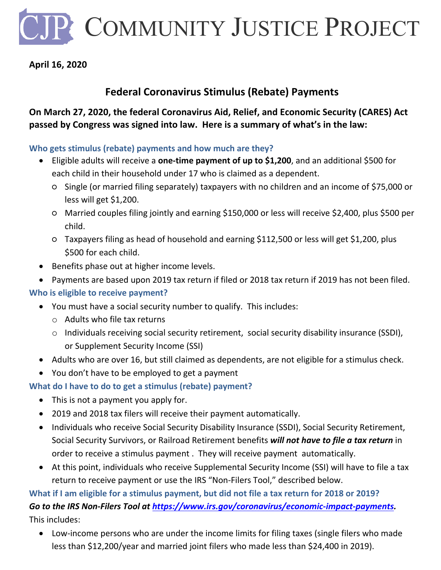P COMMUNITY JUSTICE PROJECT

## **April 16, 2020**

## **Federal Coronavirus Stimulus (Rebate) Payments**

## **On March 27, 2020, the federal Coronavirus Aid, Relief, and Economic Security (CARES) Act passed by Congress was signed into law. Here is a summary of what's in the law:**

#### **Who gets stimulus (rebate) payments and how much are they?**

- Eligible adults will receive a **one-time payment of up to \$1,200**, and an additional \$500 for each child in their household under 17 who is claimed as a dependent.
	- Single (or married filing separately) taxpayers with no children and an income of \$75,000 or less will get \$1,200.
	- Married couples filing jointly and earning \$150,000 or less will receive \$2,400, plus \$500 per child.
	- Taxpayers filing as head of household and earning \$112,500 or less will get \$1,200, plus \$500 for each child.
- Benefits phase out at higher income levels.
- Payments are based upon 2019 tax return if filed or 2018 tax return if 2019 has not been filed.

## **Who is eligible to receive payment?**

- You must have a social security number to qualify. This includes:
	- o Adults who file tax returns
	- o Individuals receiving social security retirement, social security disability insurance (SSDI), or Supplement Security Income (SSI)
- Adults who are over 16, but still claimed as dependents, are not eligible for a stimulus check.
- You don't have to be employed to get a payment

## **What do I have to do to get a stimulus (rebate) payment?**

- This is not a payment you apply for.
- 2019 and 2018 tax filers will receive their payment automatically.
- Individuals who receive Social Security Disability Insurance (SSDI), Social Security Retirement, Social Security Survivors, or Railroad Retirement benefits *[will not have to file a tax return](https://www.washingtonpost.com/business/2020/04/01/bailout-checks-social-security/?utm_campaign=wp_news_alert_revere&utm_medium=email&utm_source=alert&wpisrc=al_news__alert-economy--alert-national&wpmk=1)* in order to receive a stimulus payment . They will receive payment automatically.
- At this point, individuals who receive Supplemental Security Income (SSI) will have to file a tax return to receive payment or use the IRS "Non-Filers Tool," described below.

## **What if I am eligible for a stimulus payment, but did not file a tax return for 2018 or 2019?**

# *Go to the IRS Non-Filers Tool at [https://www.irs.gov/coronavirus/economic-impact-payments.](https://www.irs.gov/coronavirus/economic-impact-payments)*

This includes:

• Low-income persons who are under the income limits for filing taxes (single filers who made less than \$12,200/year and married joint filers who made less than \$24,400 in 2019).